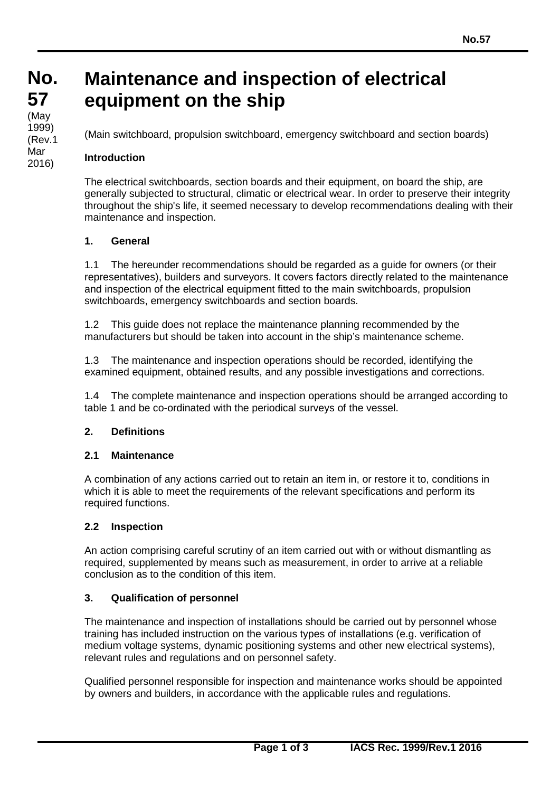### **No. No. 57 57** (iviay<br>1999) (May (Rev.1 Mar 2016)

# **Maintenance and inspection of electrical equipment on the ship**

(Main switchboard, propulsion switchboard, emergency switchboard and section boards)

#### **Introduction**

The electrical switchboards, section boards and their equipment, on board the ship, are generally subjected to structural, climatic or electrical wear. In order to preserve their integrity throughout the ship's life, it seemed necessary to develop recommendations dealing with their maintenance and inspection.

#### **1. General**

1.1 The hereunder recommendations should be regarded as a guide for owners (or their representatives), builders and surveyors. It covers factors directly related to the maintenance and inspection of the electrical equipment fitted to the main switchboards, propulsion switchboards, emergency switchboards and section boards.

1.2 This guide does not replace the maintenance planning recommended by the manufacturers but should be taken into account in the ship's maintenance scheme.

1.3 The maintenance and inspection operations should be recorded, identifying the examined equipment, obtained results, and any possible investigations and corrections.

1.4 The complete maintenance and inspection operations should be arranged according to table 1 and be co-ordinated with the periodical surveys of the vessel.

#### **2. Definitions**

#### **2.1 Maintenance**

A combination of any actions carried out to retain an item in, or restore it to, conditions in which it is able to meet the requirements of the relevant specifications and perform its required functions.

#### **2.2 Inspection**

An action comprising careful scrutiny of an item carried out with or without dismantling as required, supplemented by means such as measurement, in order to arrive at a reliable conclusion as to the condition of this item.

#### **3. Qualification of personnel**

The maintenance and inspection of installations should be carried out by personnel whose training has included instruction on the various types of installations (e.g. verification of medium voltage systems, dynamic positioning systems and other new electrical systems), relevant rules and regulations and on personnel safety.

Qualified personnel responsible for inspection and maintenance works should be appointed by owners and builders, in accordance with the applicable rules and regulations.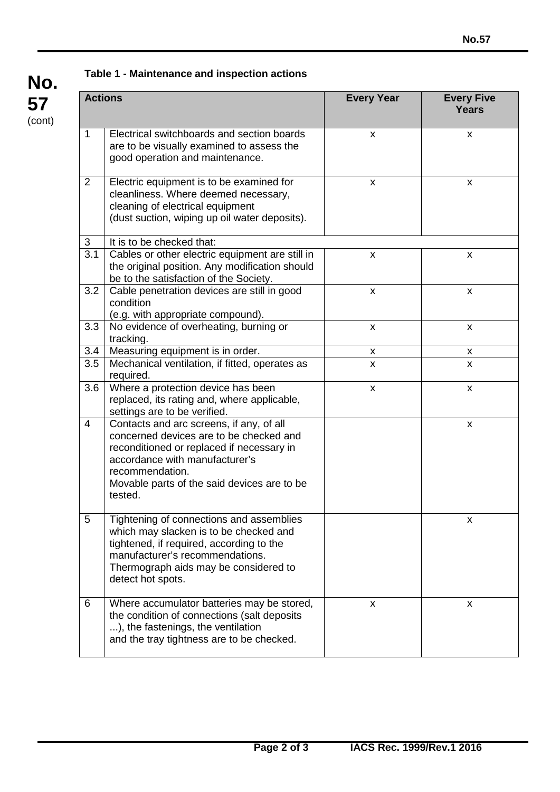## **Table 1 - Maintenance and inspection actions**

| <b>Actions</b> |                                                                                                                                                                                                                                                 | <b>Every Year</b>         | <b>Every Five</b><br><b>Years</b> |
|----------------|-------------------------------------------------------------------------------------------------------------------------------------------------------------------------------------------------------------------------------------------------|---------------------------|-----------------------------------|
| 1              | Electrical switchboards and section boards<br>are to be visually examined to assess the<br>good operation and maintenance.                                                                                                                      | X                         | X                                 |
| $\overline{2}$ | Electric equipment is to be examined for<br>cleanliness. Where deemed necessary,<br>cleaning of electrical equipment<br>(dust suction, wiping up oil water deposits).                                                                           | X                         | X                                 |
| 3              | It is to be checked that:                                                                                                                                                                                                                       |                           |                                   |
| 3.1            | Cables or other electric equipment are still in<br>the original position. Any modification should<br>be to the satisfaction of the Society.                                                                                                     | X                         | X                                 |
| 3.2            | Cable penetration devices are still in good<br>condition<br>(e.g. with appropriate compound).                                                                                                                                                   | $\pmb{\times}$            | X                                 |
| 3.3            | No evidence of overheating, burning or<br>tracking.                                                                                                                                                                                             | X                         | X                                 |
| 3.4            | Measuring equipment is in order.                                                                                                                                                                                                                | X                         | X                                 |
| 3.5            | Mechanical ventilation, if fitted, operates as<br>required.                                                                                                                                                                                     | X                         | $\boldsymbol{\mathsf{x}}$         |
| 3.6            | Where a protection device has been<br>replaced, its rating and, where applicable,<br>settings are to be verified.                                                                                                                               | $\boldsymbol{\mathsf{x}}$ | X                                 |
| 4              | Contacts and arc screens, if any, of all<br>concerned devices are to be checked and<br>reconditioned or replaced if necessary in<br>accordance with manufacturer's<br>recommendation.<br>Movable parts of the said devices are to be<br>tested. |                           | X                                 |
| 5              | Tightening of connections and assemblies<br>which may slacken is to be checked and<br>tightened, if required, according to the<br>manufacturer's recommendations.<br>Thermograph aids may be considered to<br>detect hot spots.                 |                           | X                                 |
| 6              | Where accumulator batteries may be stored,<br>the condition of connections (salt deposits<br>), the fastenings, the ventilation<br>and the tray tightness are to be checked.                                                                    | x                         | X                                 |